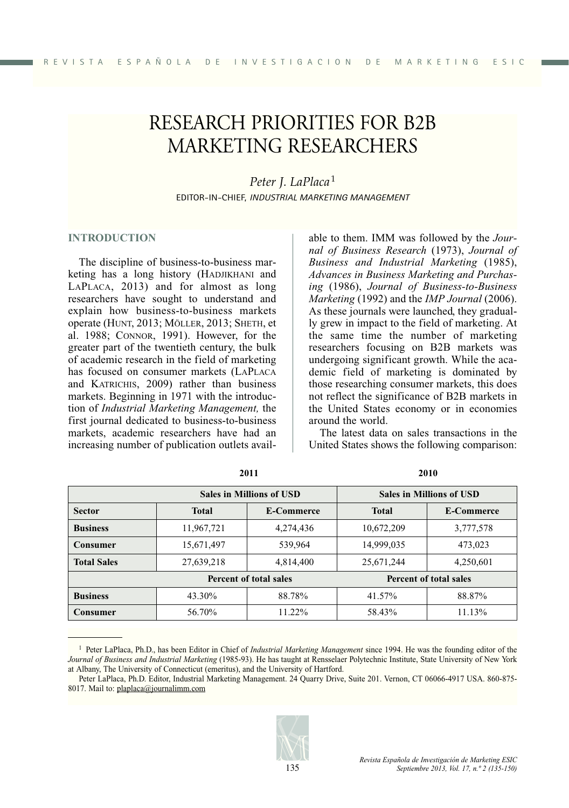# RESEARCH PRIORITIES FOR B2B MARKETING RESEARCHERS

*Peter J. LaPlaca* <sup>1</sup> EDITOR-IN-CHIEF, *INDUSTRIAL MARKETING MANAGEMENT*

#### **INTRODUCTION**

The discipline of business-to-business marketing has a long history (HADJIKHANI and LAPLACA, 2013) and for almost as long researchers have sought to understand and explain how business-to-business markets operate (HUNT, 2013; MÖLLER, 2013; SHETH, et al. 1988; CONNOR, 1991). However, for the greater part of the twentieth century, the bulk of academic research in the field of marketing has focused on consumer markets (LAPLACA and KATRICHIS, 2009) rather than business markets. Beginning in 1971 with the introduction of *Industrial Marketing Management,* the first journal dedicated to business-to-business markets, academic researchers have had an increasing number of publication outlets available to them. IMM was followed by the *Journal of Business Research* (1973), *Journal of Business and Industrial Marketing* (1985), *Advances in Business Marketing and Purchasing* (1986), *Journal of Business-to-Business Marketing* (1992) and the *IMP Journal* (2006). As these journals were launched, they gradually grew in impact to the field of marketing. At the same time the number of marketing researchers focusing on B2B markets was undergoing significant growth. While the academic field of marketing is dominated by those researching consumer markets, this does not reflect the significance of B2B markets in the United States economy or in economies around the world.

The latest data on sales transactions in the United States shows the following comparison:

|                        | <b>Sales in Millions of USD</b> |                   | <b>Sales in Millions of USD</b> |                   |
|------------------------|---------------------------------|-------------------|---------------------------------|-------------------|
| <b>Sector</b>          | <b>Total</b>                    | <b>E-Commerce</b> | <b>Total</b>                    | <b>E-Commerce</b> |
| <b>Business</b>        | 11,967,721                      | 4,274,436         | 10,672,209                      | 3,777,578         |
| <b>Consumer</b>        | 15,671,497                      | 539,964           | 14,999,035                      | 473,023           |
| <b>Total Sales</b>     | 27,639,218                      | 4,814,400         | 25,671,244                      | 4,250,601         |
| Percent of total sales |                                 |                   | Percent of total sales          |                   |
| <b>Business</b>        | 43.30%                          | 88.78%            | 41.57%                          | 88.87%            |
| <b>Consumer</b>        | 56.70%                          | 11.22%            | 58.43%                          | 11.13%            |

**2011 2010**

Peter LaPlaca, Ph.D. Editor, Industrial Marketing Management. 24 Quarry Drive, Suite 201. Vernon, CT 06066-4917 USA. 860-875- 8017. Mail to: plaplaca@journalimm.com



<sup>1</sup> Peter LaPlaca, Ph.D., has been Editor in Chief of *Industrial Marketing Management* since 1994. He was the founding editor of the *Journal of Business and Industrial Marketing* (1985-93). He has taught at Rensselaer Polytechnic Institute, State University of New York at Albany, The University of Connecticut (emeritus), and the University of Hartford.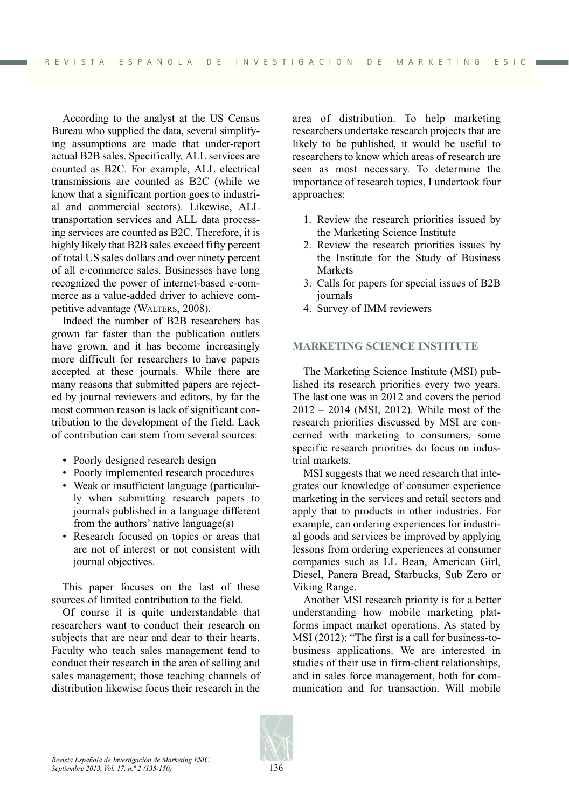According to the analyst at the US Census Bureau who supplied the data, several simplifying assumptions are made that under-report actual B2B sales. Specifically, ALL services are counted as B2C. For example, ALL electrical transmissions are counted as B2C (while we know that a significant portion goes to industrial and commercial sectors). Likewise, ALL transportation services and ALL data processing services are counted as B2C. Therefore, it is highly likely that B2B sales exceed fifty percent of total US sales dollars and over ninety percent of all e-commerce sales. Businesses have long recognized the power of internet-based e-commerce as a value-added driver to achieve competitive advantage (WALTERS, 2008).

Indeed the number of B2B researchers has grown far faster than the publication outlets have grown, and it has become increasingly more difficult for researchers to have papers accepted at these journals. While there are many reasons that submitted papers are rejected by journal reviewers and editors, by far the most common reason is lack of significant contribution to the development of the field. Lack of contribution can stem from several sources:

- Poorly designed research design
- Poorly implemented research procedures
- Weak or insufficient language (particularly when submitting research papers to journals published in a language different from the authors' native language(s)
- Research focused on topics or areas that are not of interest or not consistent with journal objectives.

This paper focuses on the last of these sources of limited contribution to the field.

Of course it is quite understandable that researchers want to conduct their research on subjects that are near and dear to their hearts. Faculty who teach sales management tend to conduct their research in the area of selling and sales management; those teaching channels of distribution likewise focus their research in the

area of distribution. To help marketing researchers undertake research projects that are likely to be published, it would be useful to researchers to know which areas of research are seen as most necessary. To determine the importance of research topics, I undertook four approaches:

- 1. Review the research priorities issued by the Marketing Science Institute
- 2. Review the research priorities issues by the Institute for the Study of Business Markets
- 3. Calls for papers for special issues of B2B journals
- 4. Survey of IMM reviewers

#### **MARKETING SCIENCE INSTITUTE**

The Marketing Science Institute (MSI) published its research priorities every two years. The last one was in 2012 and covers the period 2012 – 2014 (MSI, 2012). While most of the research priorities discussed by MSI are concerned with marketing to consumers, some specific research priorities do focus on industrial markets.

MSI suggests that we need research that integrates our knowledge of consumer experience marketing in the services and retail sectors and apply that to products in other industries. For example, can ordering experiences for industrial goods and services be improved by applying lessons from ordering experiences at consumer companies such as LL Bean, American Girl, Diesel, Panera Bread, Starbucks, Sub Zero or Viking Range.

Another MSI research priority is for a better understanding how mobile marketing platforms impact market operations. As stated by MSI (2012): "The first is a call for business-tobusiness applications. We are interested in studies of their use in firm-client relationships, and in sales force management, both for communication and for transaction. Will mobile

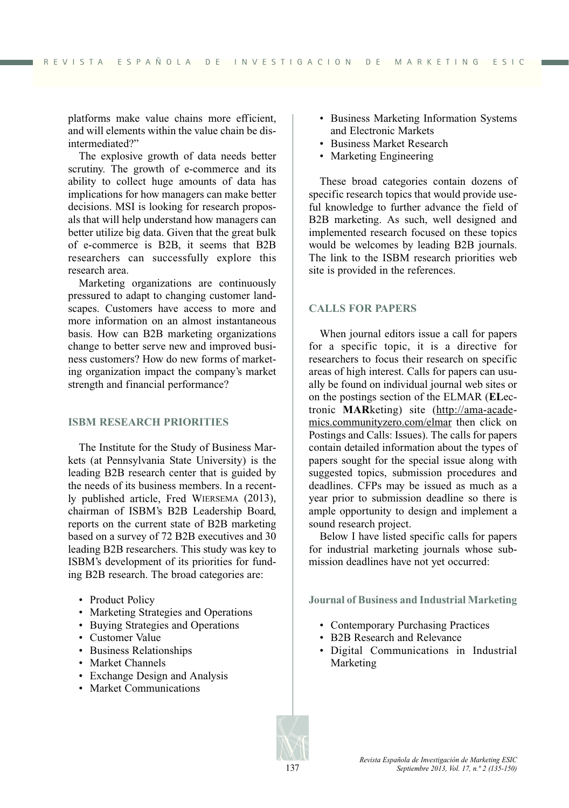platforms make value chains more efficient, and will elements within the value chain be disintermediated?"

The explosive growth of data needs better scrutiny. The growth of e-commerce and its ability to collect huge amounts of data has implications for how managers can make better decisions. MSI is looking for research proposals that will help understand how managers can better utilize big data. Given that the great bulk of e-commerce is B2B, it seems that B2B researchers can successfully explore this research area.

Marketing organizations are continuously pressured to adapt to changing customer landscapes. Customers have access to more and more information on an almost instantaneous basis. How can B2B marketing organizations change to better serve new and improved business customers? How do new forms of marketing organization impact the company's market strength and financial performance?

#### **ISBM RESEARCH PRIORITIES**

The Institute for the Study of Business Markets (at Pennsylvania State University) is the leading B2B research center that is guided by the needs of its business members. In a recently published article, Fred WIERSEMA (2013), chairman of ISBM's B2B Leadership Board, reports on the current state of B2B marketing based on a survey of 72 B2B executives and 30 leading B2B researchers. This study was key to ISBM's development of its priorities for funding B2B research. The broad categories are:

- Product Policy
- Marketing Strategies and Operations
- Buying Strategies and Operations
- Customer Value
- Business Relationships
- Market Channels
- Exchange Design and Analysis
- Market Communications
- Business Marketing Information Systems and Electronic Markets
- Business Market Research
- Marketing Engineering

These broad categories contain dozens of specific research topics that would provide useful knowledge to further advance the field of B2B marketing. As such, well designed and implemented research focused on these topics would be welcomes by leading B2B journals. The link to the ISBM research priorities web site is provided in the references.

## **CALLS FOR PAPERS**

When journal editors issue a call for papers for a specific topic, it is a directive for researchers to focus their research on specific areas of high interest. Calls for papers can usually be found on individual journal web sites or on the postings section of the ELMAR (**EL**ectronic **MAR**keting) site (http://ama-academics.communityzero.com/elmar then click on Postings and Calls: Issues). The calls for papers contain detailed information about the types of papers sought for the special issue along with suggested topics, submission procedures and deadlines. CFPs may be issued as much as a year prior to submission deadline so there is ample opportunity to design and implement a sound research project.

Below I have listed specific calls for papers for industrial marketing journals whose submission deadlines have not yet occurred:

**Journal of Business and Industrial Marketing**

- Contemporary Purchasing Practices
- B2B Research and Relevance
- Digital Communications in Industrial Marketing

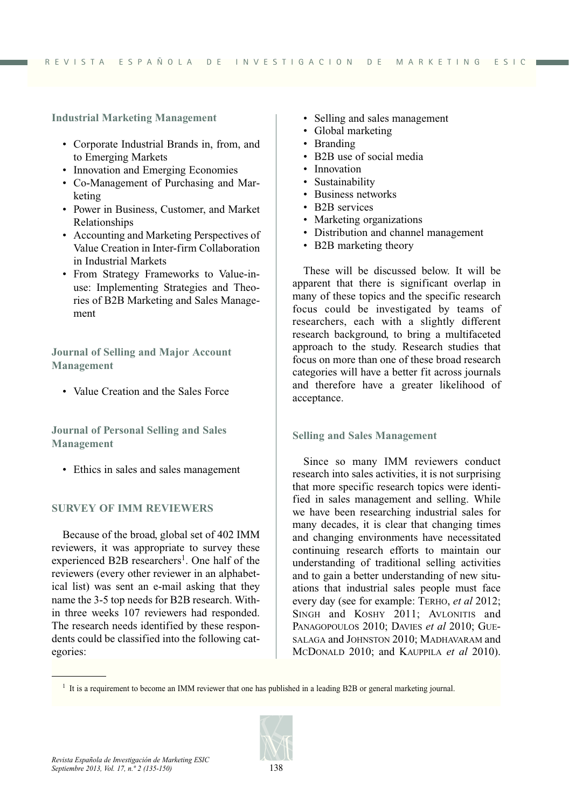**Industrial Marketing Management**

- Corporate Industrial Brands in, from, and to Emerging Markets
- Innovation and Emerging Economies
- Co-Management of Purchasing and Marketing
- Power in Business, Customer, and Market Relationships
- Accounting and Marketing Perspectives of Value Creation in Inter-firm Collaboration in Industrial Markets
- From Strategy Frameworks to Value-inuse: Implementing Strategies and Theories of B2B Marketing and Sales Management

**Journal of Selling and Major Account Management**

• Value Creation and the Sales Force

**Journal of Personal Selling and Sales Management**

• Ethics in sales and sales management

## **SURVEY OF IMM REVIEWERS**

Because of the broad, global set of 402 IMM reviewers, it was appropriate to survey these experienced B2B researchers<sup>1</sup>. One half of the reviewers (every other reviewer in an alphabetical list) was sent an e-mail asking that they name the 3-5 top needs for B2B research. Within three weeks 107 reviewers had responded. The research needs identified by these respondents could be classified into the following categories:

- Selling and sales management
- Global marketing
- Branding
- B2B use of social media
- Innovation
- Sustainability
- Business networks
- B2B services
- Marketing organizations
- Distribution and channel management
- B2B marketing theory

These will be discussed below. It will be apparent that there is significant overlap in many of these topics and the specific research focus could be investigated by teams of researchers, each with a slightly different research background, to bring a multifaceted approach to the study. Research studies that focus on more than one of these broad research categories will have a better fit across journals and therefore have a greater likelihood of acceptance.

## **Selling and Sales Management**

Since so many IMM reviewers conduct research into sales activities, it is not surprising that more specific research topics were identified in sales management and selling. While we have been researching industrial sales for many decades, it is clear that changing times and changing environments have necessitated continuing research efforts to maintain our understanding of traditional selling activities and to gain a better understanding of new situations that industrial sales people must face every day (see for example: TERHO, *et al* 2012; SINGH and KOSHY 2011; AVLONITIS and PANAGOPOULOS 2010; DAVIES *et al* 2010; GUE-SALAGA and JOHNSTON 2010; MADHAVARAM and MCDONALD 2010; and KAUPPILA *et al* 2010).

<sup>&</sup>lt;sup>1</sup> It is a requirement to become an IMM reviewer that one has published in a leading B2B or general marketing journal.

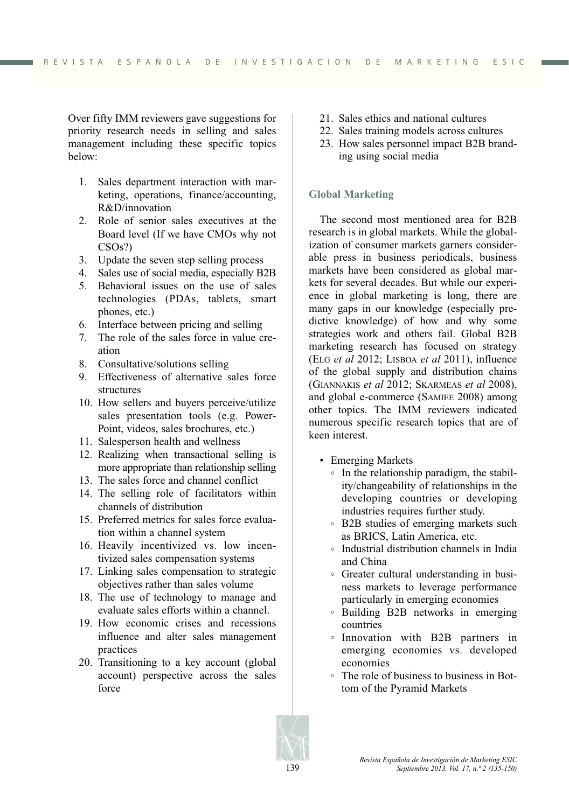Over fifty IMM reviewers gave suggestions for priority research needs in selling and sales management including these specific topics below:

- 1. Sales department interaction with marketing, operations, finance/accounting, R&D/innovation
- 2. Role of senior sales executives at the Board level (If we have CMOs why not CSOs?)
- 3. Update the seven step selling process
- 4. Sales use of social media, especially B2B
- 5. Behavioral issues on the use of sales technologies (PDAs, tablets, smart phones, etc.)
- 6. Interface between pricing and selling
- 7. The role of the sales force in value creation
- 8. Consultative/solutions selling
- 9. Effectiveness of alternative sales force structures
- 10. How sellers and buyers perceive/utilize sales presentation tools (e.g. Power-Point, videos, sales brochures, etc.)
- 11. Salesperson health and wellness
- 12. Realizing when transactional selling is more appropriate than relationship selling
- 13. The sales force and channel conflict
- 14. The selling role of facilitators within channels of distribution
- 15. Preferred metrics for sales force evaluation within a channel system
- 16. Heavily incentivized vs. low incentivized sales compensation systems
- 17. Linking sales compensation to strategic objectives rather than sales volume
- 18. The use of technology to manage and evaluate sales efforts within a channel.
- 19. How economic crises and recessions influence and alter sales management practices
- 20. Transitioning to a key account (global account) perspective across the sales force
- 21. Sales ethics and national cultures
- 22. Sales training models across cultures
- 23. How sales personnel impact B2B branding using social media

# **Global Marketing**

The second most mentioned area for B2B research is in global markets. While the globalization of consumer markets garners considerable press in business periodicals, business markets have been considered as global markets for several decades. But while our experience in global marketing is long, there are many gaps in our knowledge (especially predictive knowledge) of how and why some strategies work and others fail. Global B2B marketing research has focused on strategy (ELG *et al* 2012; LISBOA *et al* 2011), influence of the global supply and distribution chains (GIANNAKIS *et al* 2012; SKARMEAS *et al* 2008), and global e-commerce (SAMIEE 2008) among other topics. The IMM reviewers indicated numerous specific research topics that are of keen interest.

- Emerging Markets
	- In the relationship paradigm, the stability/changeability of relationships in the developing countries or developing industries requires further study.
	- B2B studies of emerging markets such as BRICS, Latin America, etc.
	- Industrial distribution channels in India and China
	- Greater cultural understanding in business markets to leverage performance particularly in emerging economies
	- Building B2B networks in emerging countries
	- Innovation with B2B partners in emerging economies vs. developed economies
	- The role of business to business in Bottom of the Pyramid Markets

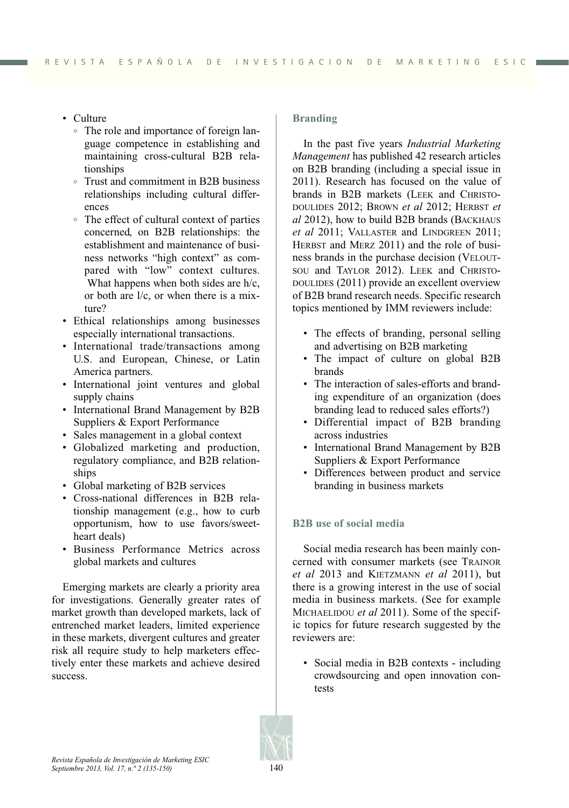- Culture
	- The role and importance of foreign language competence in establishing and maintaining cross-cultural B2B relationships
	- Trust and commitment in B2B business relationships including cultural differences
	- The effect of cultural context of parties concerned, on B2B relationships: the establishment and maintenance of business networks "high context" as compared with "low" context cultures. What happens when both sides are h/c. or both are l/c, or when there is a mixture?
- Ethical relationships among businesses especially international transactions.
- International trade/transactions among U.S. and European, Chinese, or Latin America partners.
- International joint ventures and global supply chains
- International Brand Management by B2B Suppliers & Export Performance
- Sales management in a global context
- Globalized marketing and production, regulatory compliance, and B2B relationships
- Global marketing of B2B services
- Cross-national differences in B2B relationship management (e.g., how to curb opportunism, how to use favors/sweetheart deals)
- Business Performance Metrics across global markets and cultures

Emerging markets are clearly a priority area for investigations. Generally greater rates of market growth than developed markets, lack of entrenched market leaders, limited experience in these markets, divergent cultures and greater risk all require study to help marketers effectively enter these markets and achieve desired success.

# **Branding**

In the past five years *Industrial Marketing Management* has published 42 research articles on B2B branding (including a special issue in 2011). Research has focused on the value of brands in B2B markets (LEEK and CHRISTO-DOULIDES 2012; BROWN *et al* 2012; HERBST *et al* 2012), how to build B2B brands (BACKHAUS *et al* 2011; VALLASTER and LINDGREEN 2011; HERBST and MERZ 2011) and the role of business brands in the purchase decision (VELOUT-SOU and TAYLOR 2012). LEEK and CHRISTO-DOULIDES (2011) provide an excellent overview of B2B brand research needs. Specific research topics mentioned by IMM reviewers include:

- The effects of branding, personal selling and advertising on B2B marketing
- The impact of culture on global B2B brands
- The interaction of sales-efforts and branding expenditure of an organization (does branding lead to reduced sales efforts?)
- Differential impact of B2B branding across industries
- International Brand Management by B2B Suppliers & Export Performance
- Differences between product and service branding in business markets

# **B2B use of social media**

Social media research has been mainly concerned with consumer markets (see TRAINOR *et al* 2013 and KIETZMANN *et al* 2011), but there is a growing interest in the use of social media in business markets. (See for example MICHAELIDOU *et al* 2011). Some of the specific topics for future research suggested by the reviewers are:

• Social media in B2B contexts - including crowdsourcing and open innovation contests

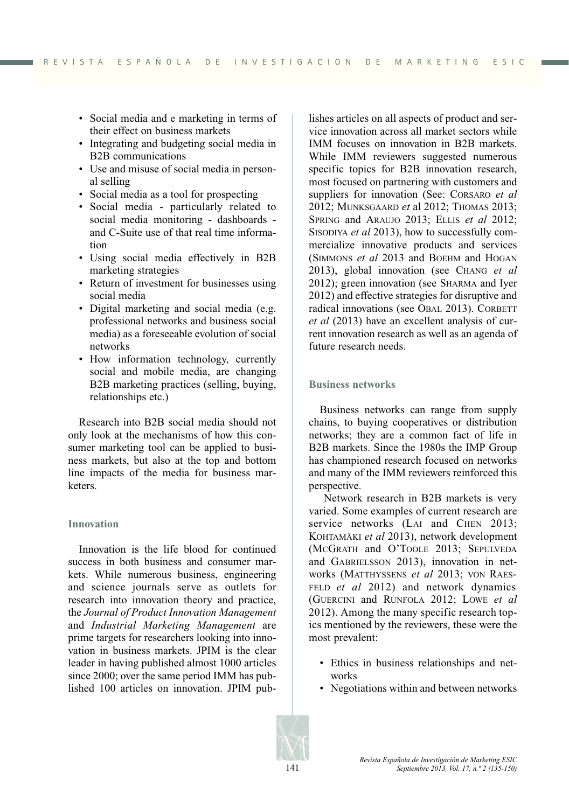- Social media and e marketing in terms of their effect on business markets
- Integrating and budgeting social media in B2B communications
- Use and misuse of social media in personal selling
- Social media as a tool for prospecting
- Social media particularly related to social media monitoring - dashboards and C-Suite use of that real time information
- Using social media effectively in B2B marketing strategies
- Return of investment for businesses using social media
- Digital marketing and social media (e.g. professional networks and business social media) as a foreseeable evolution of social networks
- How information technology, currently social and mobile media, are changing B2B marketing practices (selling, buying, relationships etc.)

Research into B2B social media should not only look at the mechanisms of how this consumer marketing tool can be applied to business markets, but also at the top and bottom line impacts of the media for business marketers.

## **Innovation**

Innovation is the life blood for continued success in both business and consumer markets. While numerous business, engineering and science journals serve as outlets for research into innovation theory and practice, the *Journal of Product Innovation Management* and *Industrial Marketing Management* are prime targets for researchers looking into innovation in business markets. JPIM is the clear leader in having published almost 1000 articles since 2000; over the same period IMM has published 100 articles on innovation. JPIM publishes articles on all aspects of product and service innovation across all market sectors while IMM focuses on innovation in B2B markets. While IMM reviewers suggested numerous specific topics for B2B innovation research, most focused on partnering with customers and suppliers for innovation (See: CORSARO *et al* 2012; MUNKSGAARD *et* al 2012; THOMAS 2013; SPRING and ARAUJO 2013; ELLIS *et al* 2012; SISODIYA *et al* 2013), how to successfully commercialize innovative products and services (SIMMONS *et al* 2013 and BOEHM and HOGAN 2013), global innovation (see CHANG *et al* 2012); green innovation (see SHARMA and Iyer 2012) and effective strategies for disruptive and radical innovations (see OBAL 2013). CORBETT *et al* (2013) have an excellent analysis of current innovation research as well as an agenda of future research needs.

#### **Business networks**

Business networks can range from supply chains, to buying cooperatives or distribution networks; they are a common fact of life in B2B markets. Since the 1980s the IMP Group has championed research focused on networks and many of the IMM reviewers reinforced this perspective.

Network research in B2B markets is very varied. Some examples of current research are service networks (LAI and CHEN 2013; KOHTAMÄKI *et al* 2013), network development (MCGRATH and O'TOOLE 2013; SEPULVEDA and GABRIELSSON 2013), innovation in networks (MATTHYSSENS *et al* 2013; VON RAES-FELD *et al* 2012) and network dynamics (GUERCINI and RUNFOLA 2012; LOWE *et al* 2012). Among the many specific research topics mentioned by the reviewers, these were the most prevalent:

- Ethics in business relationships and networks
- Negotiations within and between networks

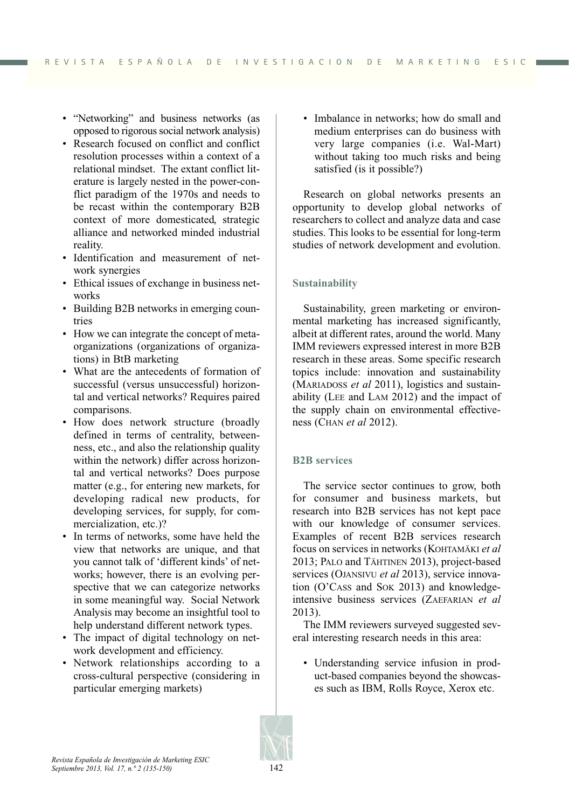- "Networking" and business networks (as opposed to rigorous social network analysis)
- Research focused on conflict and conflict resolution processes within a context of a relational mindset. The extant conflict literature is largely nested in the power-conflict paradigm of the 1970s and needs to be recast within the contemporary B2B context of more domesticated, strategic alliance and networked minded industrial reality.
- Identification and measurement of network synergies
- Ethical issues of exchange in business networks
- Building B2B networks in emerging countries
- How we can integrate the concept of metaorganizations (organizations of organizations) in BtB marketing
- What are the antecedents of formation of successful (versus unsuccessful) horizontal and vertical networks? Requires paired comparisons.
- How does network structure (broadly defined in terms of centrality, betweenness, etc., and also the relationship quality within the network) differ across horizontal and vertical networks? Does purpose matter (e.g., for entering new markets, for developing radical new products, for developing services, for supply, for commercialization, etc.)?
- In terms of networks, some have held the view that networks are unique, and that you cannot talk of 'different kinds' of networks; however, there is an evolving perspective that we can categorize networks in some meaningful way. Social Network Analysis may become an insightful tool to help understand different network types.
- The impact of digital technology on network development and efficiency.
- Network relationships according to a cross-cultural perspective (considering in particular emerging markets)

• Imbalance in networks; how do small and medium enterprises can do business with very large companies (i.e. Wal-Mart) without taking too much risks and being satisfied (is it possible?)

Research on global networks presents an opportunity to develop global networks of researchers to collect and analyze data and case studies. This looks to be essential for long-term studies of network development and evolution.

# **Sustainability**

Sustainability, green marketing or environmental marketing has increased significantly, albeit at different rates, around the world. Many IMM reviewers expressed interest in more B2B research in these areas. Some specific research topics include: innovation and sustainability (MARIADOSS *et al* 2011), logistics and sustainability (LEE and LAM 2012) and the impact of the supply chain on environmental effectiveness (CHAN *et al* 2012).

## **B2B services**

The service sector continues to grow, both for consumer and business markets, but research into B2B services has not kept pace with our knowledge of consumer services. Examples of recent B2B services research focus on services in networks (KOHTAMÄKI *et al* 2013; PALO and TÄHTINEN 2013), project-based services (OJANSIVU *et al* 2013), service innovation (O'CASS and SOK 2013) and knowledgeintensive business services (ZAEFARIAN *et al* 2013).

The IMM reviewers surveyed suggested several interesting research needs in this area:

• Understanding service infusion in product-based companies beyond the showcases such as IBM, Rolls Royce, Xerox etc.

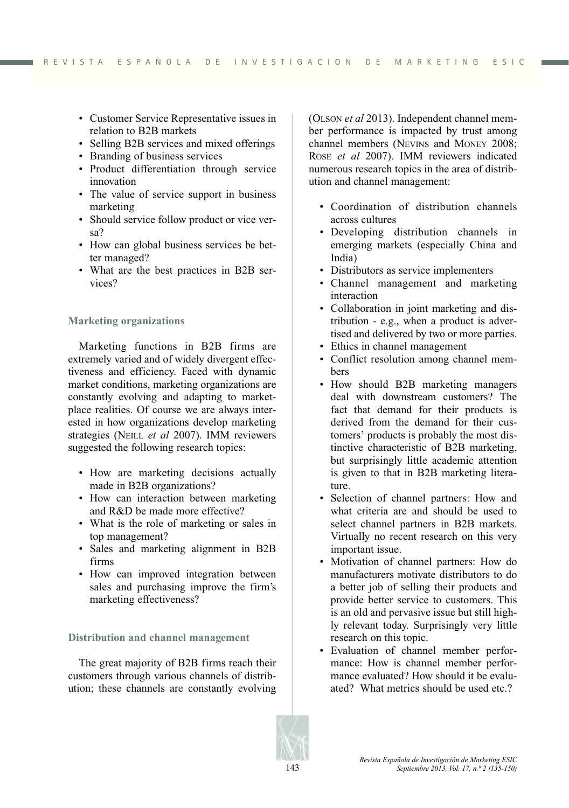- Customer Service Representative issues in relation to B2B markets
- Selling B2B services and mixed offerings
- Branding of business services
- Product differentiation through service innovation
- The value of service support in business marketing
- Should service follow product or vice versa?
- How can global business services be better managed?
- What are the best practices in B2B services?

# **Marketing organizations**

Marketing functions in B2B firms are extremely varied and of widely divergent effectiveness and efficiency. Faced with dynamic market conditions, marketing organizations are constantly evolving and adapting to marketplace realities. Of course we are always interested in how organizations develop marketing strategies (NEILL *et al* 2007). IMM reviewers suggested the following research topics:

- How are marketing decisions actually made in B2B organizations?
- How can interaction between marketing and R&D be made more effective?
- What is the role of marketing or sales in top management?
- Sales and marketing alignment in B2B firms
- How can improved integration between sales and purchasing improve the firm's marketing effectiveness?

## **Distribution and channel management**

The great majority of B2B firms reach their customers through various channels of distribution; these channels are constantly evolving (OLSON *et al* 2013). Independent channel member performance is impacted by trust among channel members (NEVINS and MONEY 2008; ROSE *et al* 2007). IMM reviewers indicated numerous research topics in the area of distribution and channel management:

- Coordination of distribution channels across cultures
- Developing distribution channels in emerging markets (especially China and India)
- Distributors as service implementers
- Channel management and marketing interaction
- Collaboration in joint marketing and distribution - e.g., when a product is advertised and delivered by two or more parties.
- Ethics in channel management
- Conflict resolution among channel members
- How should B2B marketing managers deal with downstream customers? The fact that demand for their products is derived from the demand for their customers' products is probably the most distinctive characteristic of B2B marketing, but surprisingly little academic attention is given to that in B2B marketing literature.
- Selection of channel partners: How and what criteria are and should be used to select channel partners in B2B markets. Virtually no recent research on this very important issue.
- Motivation of channel partners: How do manufacturers motivate distributors to do a better job of selling their products and provide better service to customers. This is an old and pervasive issue but still highly relevant today. Surprisingly very little research on this topic.
- Evaluation of channel member performance: How is channel member performance evaluated? How should it be evaluated? What metrics should be used etc.?

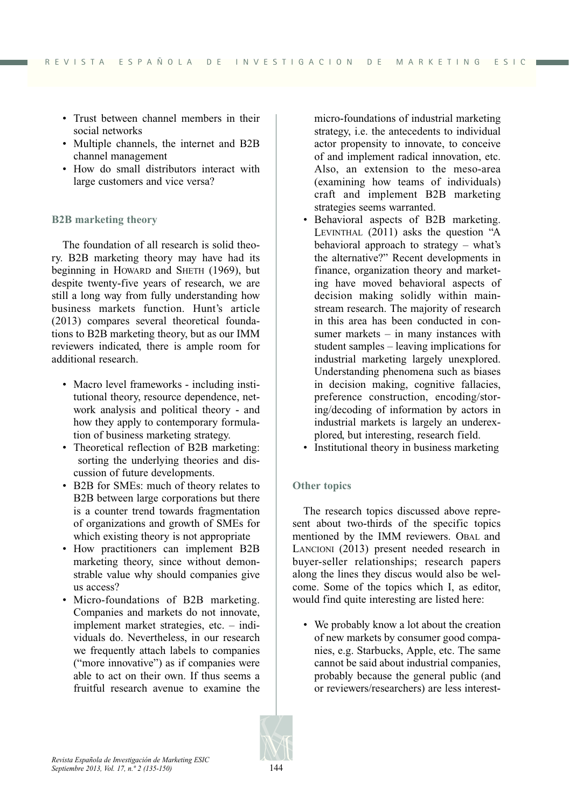- Trust between channel members in their social networks
- Multiple channels, the internet and B2B channel management
- How do small distributors interact with large customers and vice versa?

# **B2B marketing theory**

The foundation of all research is solid theory. B2B marketing theory may have had its beginning in HOWARD and SHETH (1969), but despite twenty-five years of research, we are still a long way from fully understanding how business markets function. Hunt's article (2013) compares several theoretical foundations to B2B marketing theory, but as our IMM reviewers indicated, there is ample room for additional research.

- Macro level frameworks including institutional theory, resource dependence, network analysis and political theory - and how they apply to contemporary formulation of business marketing strategy.
- Theoretical reflection of B2B marketing: sorting the underlying theories and discussion of future developments.
- B2B for SMEs: much of theory relates to B2B between large corporations but there is a counter trend towards fragmentation of organizations and growth of SMEs for which existing theory is not appropriate
- How practitioners can implement B2B marketing theory, since without demonstrable value why should companies give us access?
- Micro-foundations of B2B marketing. Companies and markets do not innovate, implement market strategies, etc. – individuals do. Nevertheless, in our research we frequently attach labels to companies ("more innovative") as if companies were able to act on their own. If thus seems a fruitful research avenue to examine the

micro-foundations of industrial marketing strategy, i.e. the antecedents to individual actor propensity to innovate, to conceive of and implement radical innovation, etc. Also, an extension to the meso-area (examining how teams of individuals) craft and implement B2B marketing strategies seems warranted.

- Behavioral aspects of B2B marketing. LEVINTHAL (2011) asks the question "A behavioral approach to strategy – what's the alternative?" Recent developments in finance, organization theory and marketing have moved behavioral aspects of decision making solidly within mainstream research. The majority of research in this area has been conducted in consumer markets – in many instances with student samples – leaving implications for industrial marketing largely unexplored. Understanding phenomena such as biases in decision making, cognitive fallacies, preference construction, encoding/storing/decoding of information by actors in industrial markets is largely an underexplored, but interesting, research field.
- Institutional theory in business marketing

# **Other topics**

The research topics discussed above represent about two-thirds of the specific topics mentioned by the IMM reviewers. OBAL and LANCIONI (2013) present needed research in buyer-seller relationships; research papers along the lines they discus would also be welcome. Some of the topics which I, as editor, would find quite interesting are listed here:

• We probably know a lot about the creation of new markets by consumer good companies, e.g. Starbucks, Apple, etc. The same cannot be said about industrial companies, probably because the general public (and or reviewers/researchers) are less interest-

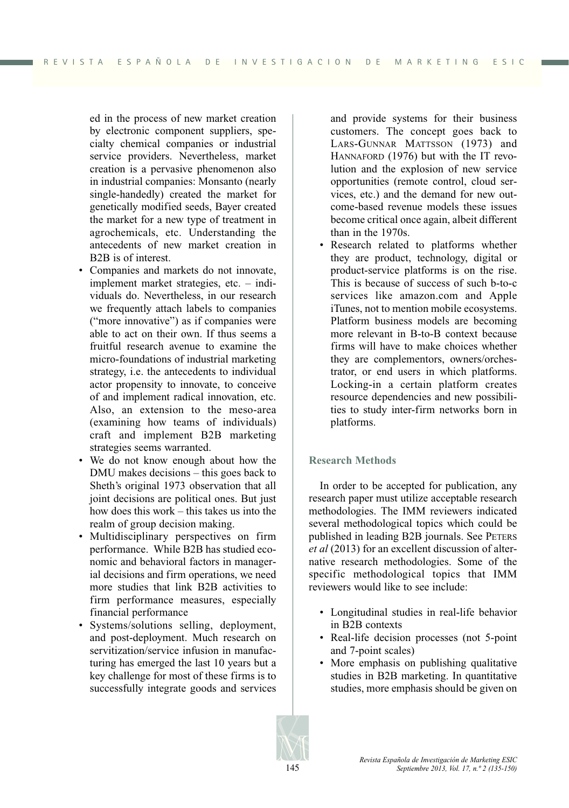ed in the process of new market creation by electronic component suppliers, specialty chemical companies or industrial service providers. Nevertheless, market creation is a pervasive phenomenon also in industrial companies: Monsanto (nearly single-handedly) created the market for genetically modified seeds, Bayer created the market for a new type of treatment in agrochemicals, etc. Understanding the antecedents of new market creation in B2B is of interest.

- Companies and markets do not innovate, implement market strategies, etc. – individuals do. Nevertheless, in our research we frequently attach labels to companies ("more innovative") as if companies were able to act on their own. If thus seems a fruitful research avenue to examine the micro-foundations of industrial marketing strategy, i.e. the antecedents to individual actor propensity to innovate, to conceive of and implement radical innovation, etc. Also, an extension to the meso-area (examining how teams of individuals) craft and implement B2B marketing strategies seems warranted.
- We do not know enough about how the DMU makes decisions – this goes back to Sheth's original 1973 observation that all joint decisions are political ones. But just how does this work – this takes us into the realm of group decision making.
- Multidisciplinary perspectives on firm performance. While B2B has studied economic and behavioral factors in managerial decisions and firm operations, we need more studies that link B2B activities to firm performance measures, especially financial performance
- Systems/solutions selling, deployment, and post-deployment. Much research on servitization/service infusion in manufacturing has emerged the last 10 years but a key challenge for most of these firms is to successfully integrate goods and services

and provide systems for their business customers. The concept goes back to LARS-GUNNAR MATTSSON (1973) and HANNAFORD (1976) but with the IT revolution and the explosion of new service opportunities (remote control, cloud services, etc.) and the demand for new outcome-based revenue models these issues become critical once again, albeit different than in the 1970s.

• Research related to platforms whether they are product, technology, digital or product-service platforms is on the rise. This is because of success of such b-to-c services like amazon.com and Apple iTunes, not to mention mobile ecosystems. Platform business models are becoming more relevant in B-to-B context because firms will have to make choices whether they are complementors, owners/orchestrator, or end users in which platforms. Locking-in a certain platform creates resource dependencies and new possibilities to study inter-firm networks born in platforms.

## **Research Methods**

In order to be accepted for publication, any research paper must utilize acceptable research methodologies. The IMM reviewers indicated several methodological topics which could be published in leading B2B journals. See PETERS *et al* (2013) for an excellent discussion of alternative research methodologies. Some of the specific methodological topics that IMM reviewers would like to see include:

- Longitudinal studies in real-life behavior in B2B contexts
- Real-life decision processes (not 5-point and 7-point scales)
- More emphasis on publishing qualitative studies in B2B marketing. In quantitative studies, more emphasis should be given on

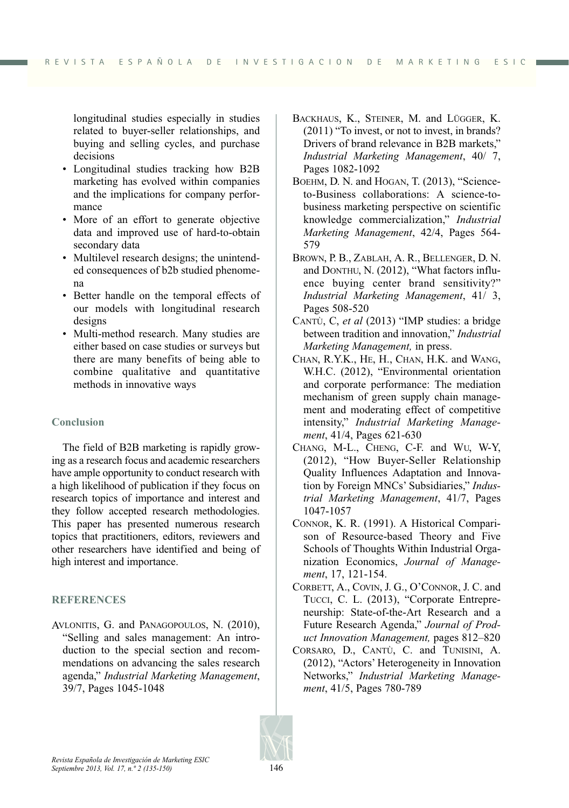longitudinal studies especially in studies related to buyer-seller relationships, and buying and selling cycles, and purchase decisions

- Longitudinal studies tracking how B2B marketing has evolved within companies and the implications for company performance
- More of an effort to generate objective data and improved use of hard-to-obtain secondary data
- Multilevel research designs; the unintended consequences of b2b studied phenomena
- Better handle on the temporal effects of our models with longitudinal research designs
- Multi-method research. Many studies are either based on case studies or surveys but there are many benefits of being able to combine qualitative and quantitative methods in innovative ways

# **Conclusion**

The field of B2B marketing is rapidly growing as a research focus and academic researchers have ample opportunity to conduct research with a high likelihood of publication if they focus on research topics of importance and interest and they follow accepted research methodologies. This paper has presented numerous research topics that practitioners, editors, reviewers and other researchers have identified and being of high interest and importance.

## **REFERENCES**

AVLONITIS, G. and PANAGOPOULOS, N. (2010), "Selling and sales management: An introduction to the special section and recommendations on advancing the sales research agenda," *Industrial Marketing Management*, 39/7, Pages 1045-1048

- BACKHAUS, K., STEINER, M. and LÜGGER, K. (2011) "To invest, or not to invest, in brands? Drivers of brand relevance in B2B markets," *Industrial Marketing Management*, 40/ 7, Pages 1082-1092
- BOEHM, D. N. and HOGAN, T. (2013), "Scienceto-Business collaborations: A science-tobusiness marketing perspective on scientific knowledge commercialization," *Industrial Marketing Management*, 42/4, Pages 564- 579
- BROWN, P. B., ZABLAH, A. R., BELLENGER, D. N. and DONTHU, N. (2012), "What factors influence buying center brand sensitivity?" *Industrial Marketing Management*, 41/ 3, Pages 508-520
- CANTÙ, C, *et al* (2013) "IMP studies: a bridge between tradition and innovation," *Industrial Marketing Management,* in press.
- CHAN, R.Y.K., HE, H., CHAN, H.K. and WANG, W.H.C. (2012), "Environmental orientation and corporate performance: The mediation mechanism of green supply chain management and moderating effect of competitive intensity," *Industrial Marketing Management*, 41/4, Pages 621-630
- CHANG, M-L., CHENG, C-F. and WU, W-Y, (2012), "How Buyer-Seller Relationship Quality Influences Adaptation and Innovation by Foreign MNCs' Subsidiaries," *Industrial Marketing Management*, 41/7, Pages 1047-1057
- CONNOR, K. R. (1991). A Historical Comparison of Resource-based Theory and Five Schools of Thoughts Within Industrial Organization Economics, *Journal of Management*, 17, 121-154.
- CORBETT, A., COVIN, J. G., O'CONNOR, J. C. and TUCCI, C. L. (2013), "Corporate Entrepreneurship: State-of-the-Art Research and a Future Research Agenda," *Journal of Product Innovation Management,* pages 812–820
- CORSARO, D., CANTÙ, C. and TUNISINI, A. (2012), "Actors' Heterogeneity in Innovation Networks," *Industrial Marketing Management*, 41/5, Pages 780-789

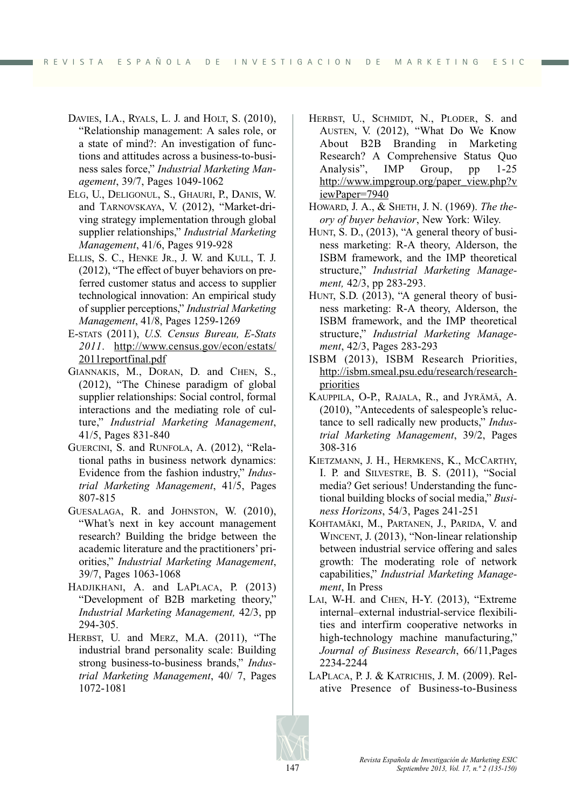- DAVIES, I.A., RYALS, L. J. and HOLT, S. (2010), "Relationship management: A sales role, or a state of mind?: An investigation of functions and attitudes across a business-to-business sales force," *Industrial Marketing Management*, 39/7, Pages 1049-1062
- ELG, U., DELIGONUL, S., GHAURI, P., DANIS, W. and TARNOVSKAYA, V. (2012), "Market-driving strategy implementation through global supplier relationships," *Industrial Marketing Management*, 41/6, Pages 919-928
- ELLIS, S. C., HENKE JR., J. W. and KULL, T. J. (2012), "The effect of buyer behaviors on preferred customer status and access to supplier technological innovation: An empirical study of supplier perceptions," *Industrial Marketing Management*, 41/8, Pages 1259-1269
- E-STATS (2011), *U.S. Census Bureau, E-Stats 2011*. http://www.census.gov/econ/estats/ 2011reportfinal.pdf
- GIANNAKIS, M., DORAN, D. and CHEN, S., (2012), "The Chinese paradigm of global supplier relationships: Social control, formal interactions and the mediating role of culture," *Industrial Marketing Management*, 41/5, Pages 831-840
- GUERCINI, S. and RUNFOLA, A. (2012), "Relational paths in business network dynamics: Evidence from the fashion industry," *Industrial Marketing Management*, 41/5, Pages 807-815
- GUESALAGA, R. and JOHNSTON, W. (2010), "What's next in key account management research? Building the bridge between the academic literature and the practitioners' priorities," *Industrial Marketing Management*, 39/7, Pages 1063-1068
- HADJIKHANI, A. and LAPLACA, P. (2013) "Development of B2B marketing theory," *Industrial Marketing Management,* 42/3, pp 294-305.
- HERBST, U. and MERZ, M.A. (2011), "The industrial brand personality scale: Building strong business-to-business brands," *Industrial Marketing Management*, 40/ 7, Pages 1072-1081
- HERBST, U., SCHMIDT, N., PLODER, S. and AUSTEN, V. (2012), "What Do We Know About B2B Branding in Marketing Research? A Comprehensive Status Quo Analysis", IMP Group, pp 1-25 http://www.impgroup.org/paper\_view.php?v iewPaper=7940
- HOWARD, J. A., & SHETH, J. N. (1969). *The theory of buyer behavior*, New York: Wiley.
- HUNT, S. D., (2013), "A general theory of business marketing: R-A theory, Alderson, the ISBM framework, and the IMP theoretical structure," *Industrial Marketing Management,* 42/3, pp 283-293.
- HUNT, S.D. (2013), "A general theory of business marketing: R-A theory, Alderson, the ISBM framework, and the IMP theoretical structure," *Industrial Marketing Management*, 42/3, Pages 283-293
- ISBM (2013), ISBM Research Priorities, http://isbm.smeal.psu.edu/research/researchpriorities
- KAUPPILA, O-P., RAJALA, R., and JYRÄMÄ, A. (2010), "Antecedents of salespeople's reluctance to sell radically new products," *Industrial Marketing Management*, 39/2, Pages 308-316
- KIETZMANN, J. H., HERMKENS, K., MCCARTHY, I. P. and SILVESTRE, B. S. (2011), "Social media? Get serious! Understanding the functional building blocks of social media," *Business Horizons*, 54/3, Pages 241-251
- KOHTAMÄKI, M., PARTANEN, J., PARIDA, V. and WINCENT, J. (2013), "Non-linear relationship between industrial service offering and sales growth: The moderating role of network capabilities," *Industrial Marketing Management*, In Press
- LAI, W-H. and CHEN, H-Y. (2013), "Extreme internal–external industrial-service flexibilities and interfirm cooperative networks in high-technology machine manufacturing," *Journal of Business Research*, 66/11,Pages 2234-2244
- LAPLACA, P. J. & KATRICHIS, J. M. (2009). Relative Presence of Business-to-Business

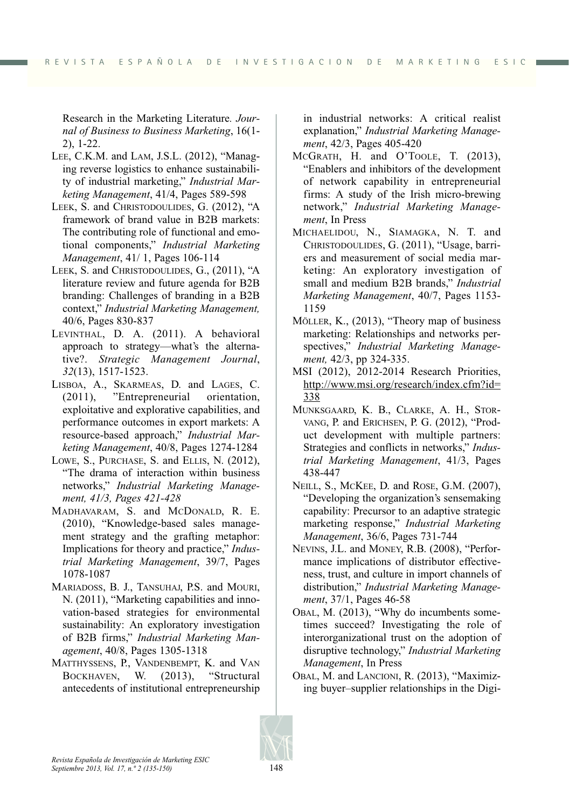Research in the Marketing Literature*. Journal of Business to Business Marketing*, 16(1- 2), 1-22.

- LEE, C.K.M. and LAM, J.S.L. (2012), "Managing reverse logistics to enhance sustainability of industrial marketing," *Industrial Marketing Management*, 41/4, Pages 589-598
- LEEK, S. and CHRISTODOULIDES, G. (2012), "A framework of brand value in B2B markets: The contributing role of functional and emotional components," *Industrial Marketing Management*, 41/ 1, Pages 106-114
- LEEK, S. and CHRISTODOULIDES, G., (2011), "A literature review and future agenda for B2B branding: Challenges of branding in a B2B context," *Industrial Marketing Management,* 40/6, Pages 830-837
- LEVINTHAL, D. A. (2011). A behavioral approach to strategy—what's the alternative?. *Strategic Management Journal*, *32*(13), 1517-1523.
- LISBOA, A., SKARMEAS, D. and LAGES, C. (2011), "Entrepreneurial orientation, exploitative and explorative capabilities, and performance outcomes in export markets: A resource-based approach," *Industrial Marketing Management*, 40/8, Pages 1274-1284
- LOWE, S., PURCHASE, S. and ELLIS, N. (2012), "The drama of interaction within business networks," *Industrial Marketing Management, 41/3, Pages 421-428*
- MADHAVARAM, S. and MCDONALD, R. E. (2010), "Knowledge-based sales management strategy and the grafting metaphor: Implications for theory and practice," *Industrial Marketing Management*, 39/7, Pages 1078-1087
- MARIADOSS, B. J., TANSUHAJ, P.S. and MOURI, N. (2011), "Marketing capabilities and innovation-based strategies for environmental sustainability: An exploratory investigation of B2B firms," *Industrial Marketing Management*, 40/8, Pages 1305-1318
- MATTHYSSENS, P., VANDENBEMPT, K. and VAN BOCKHAVEN, W. (2013), "Structural antecedents of institutional entrepreneurship

in industrial networks: A critical realist explanation," *Industrial Marketing Management*, 42/3, Pages 405-420

- MCGRATH, H. and O'TOOLE, T. (2013), "Enablers and inhibitors of the development of network capability in entrepreneurial firms: A study of the Irish micro-brewing network," *Industrial Marketing Management*, In Press
- MICHAELIDOU, N., SIAMAGKA, N. T. and CHRISTODOULIDES, G. (2011), "Usage, barriers and measurement of social media marketing: An exploratory investigation of small and medium B2B brands," *Industrial Marketing Management*, 40/7, Pages 1153- 1159
- MÖLLER, K., (2013), "Theory map of business marketing: Relationships and networks perspectives," *Industrial Marketing Management,* 42/3, pp 324-335.
- MSI (2012), 2012-2014 Research Priorities, http://www.msi.org/research/index.cfm?id= 338
- MUNKSGAARD, K. B., CLARKE, A. H., STOR-VANG, P. and ERICHSEN, P. G. (2012), "Product development with multiple partners: Strategies and conflicts in networks," *Industrial Marketing Management*, 41/3, Pages 438-447
- NEILL, S., MCKEE, D. and ROSE, G.M. (2007), "Developing the organization's sensemaking capability: Precursor to an adaptive strategic marketing response," *Industrial Marketing Management*, 36/6, Pages 731-744
- NEVINS, J.L. and MONEY, R.B. (2008), "Performance implications of distributor effectiveness, trust, and culture in import channels of distribution," *Industrial Marketing Management*, 37/1, Pages 46-58
- OBAL, M. (2013), "Why do incumbents sometimes succeed? Investigating the role of interorganizational trust on the adoption of disruptive technology," *Industrial Marketing Management*, In Press
- OBAL, M. and LANCIONI, R. (2013), "Maximizing buyer–supplier relationships in the Digi-

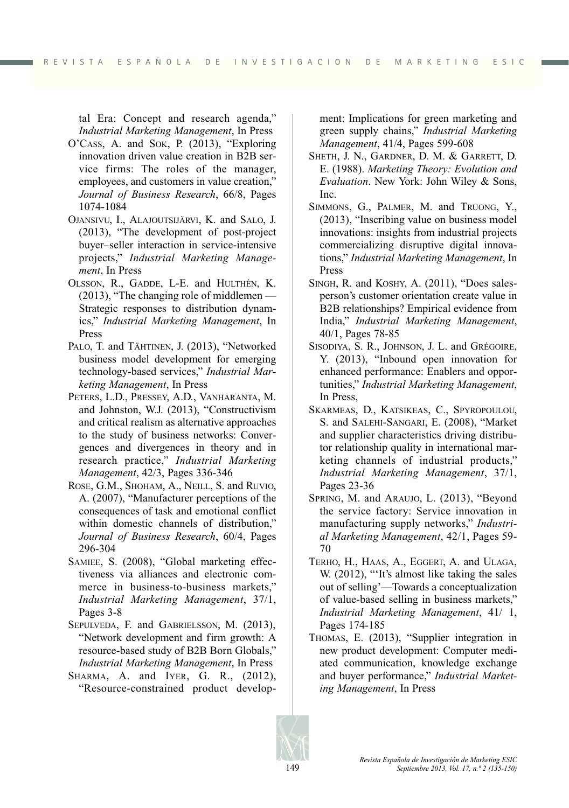tal Era: Concept and research agenda," *Industrial Marketing Management*, In Press

- O'CASS, A. and SOK, P. (2013), "Exploring innovation driven value creation in B2B service firms: The roles of the manager, employees, and customers in value creation," *Journal of Business Research*, 66/8, Pages 1074-1084
- OJANSIVU, I., ALAJOUTSIJÄRVI, K. and SALO, J. (2013), "The development of post-project buyer–seller interaction in service-intensive projects," *Industrial Marketing Management*, In Press
- OLSSON, R., GADDE, L-E. and HULTHÉN, K. (2013), "The changing role of middlemen — Strategic responses to distribution dynamics," *Industrial Marketing Management*, In Press
- PALO, T. and TÄHTINEN, J. (2013), "Networked business model development for emerging technology-based services," *Industrial Marketing Management*, In Press
- PETERS, L.D., PRESSEY, A.D., VANHARANTA, M. and Johnston, W.J. (2013), "Constructivism and critical realism as alternative approaches to the study of business networks: Convergences and divergences in theory and in research practice," *Industrial Marketing Management*, 42/3, Pages 336-346
- ROSE, G.M., SHOHAM, A., NEILL, S. and RUVIO, A. (2007), "Manufacturer perceptions of the consequences of task and emotional conflict within domestic channels of distribution," *Journal of Business Research*, 60/4, Pages 296-304
- SAMIEE, S. (2008), "Global marketing effectiveness via alliances and electronic commerce in business-to-business markets," *Industrial Marketing Management*, 37/1, Pages 3-8
- SEPULVEDA, F. and GABRIELSSON, M. (2013), "Network development and firm growth: A resource-based study of B2B Born Globals," *Industrial Marketing Management*, In Press
- SHARMA, A. and IYER, G. R., (2012), "Resource-constrained product develop-

ment: Implications for green marketing and green supply chains," *Industrial Marketing Management*, 41/4, Pages 599-608

- SHETH, J. N., GARDNER, D. M. & GARRETT, D. E. (1988). *Marketing Theory: Evolution and Evaluation*. New York: John Wiley & Sons, Inc.
- SIMMONS, G., PALMER, M. and TRUONG, Y., (2013), "Inscribing value on business model innovations: insights from industrial projects commercializing disruptive digital innovations," *Industrial Marketing Management*, In Press
- SINGH, R. and KOSHY, A. (2011), "Does salesperson's customer orientation create value in B2B relationships? Empirical evidence from India," *Industrial Marketing Management*, 40/1, Pages 78-85
- SISODIYA, S. R., JOHNSON, J. L. and GRÉGOIRE, Y. (2013), "Inbound open innovation for enhanced performance: Enablers and opportunities," *Industrial Marketing Management*, In Press,
- SKARMEAS, D., KATSIKEAS, C., SPYROPOULOU, S. and SALEHI-SANGARI, E. (2008), "Market and supplier characteristics driving distributor relationship quality in international marketing channels of industrial products," *Industrial Marketing Management*, 37/1, Pages 23-36
- SPRING, M. and ARAUJO, L. (2013), "Beyond the service factory: Service innovation in manufacturing supply networks," *Industrial Marketing Management*, 42/1, Pages 59- 70
- TERHO, H., HAAS, A., EGGERT, A. and ULAGA, W. (2012), "'It's almost like taking the sales out of selling'—Towards a conceptualization of value-based selling in business markets," *Industrial Marketing Management*, 41/ 1, Pages 174-185
- THOMAS, E. (2013), "Supplier integration in new product development: Computer mediated communication, knowledge exchange and buyer performance," *Industrial Marketing Management*, In Press